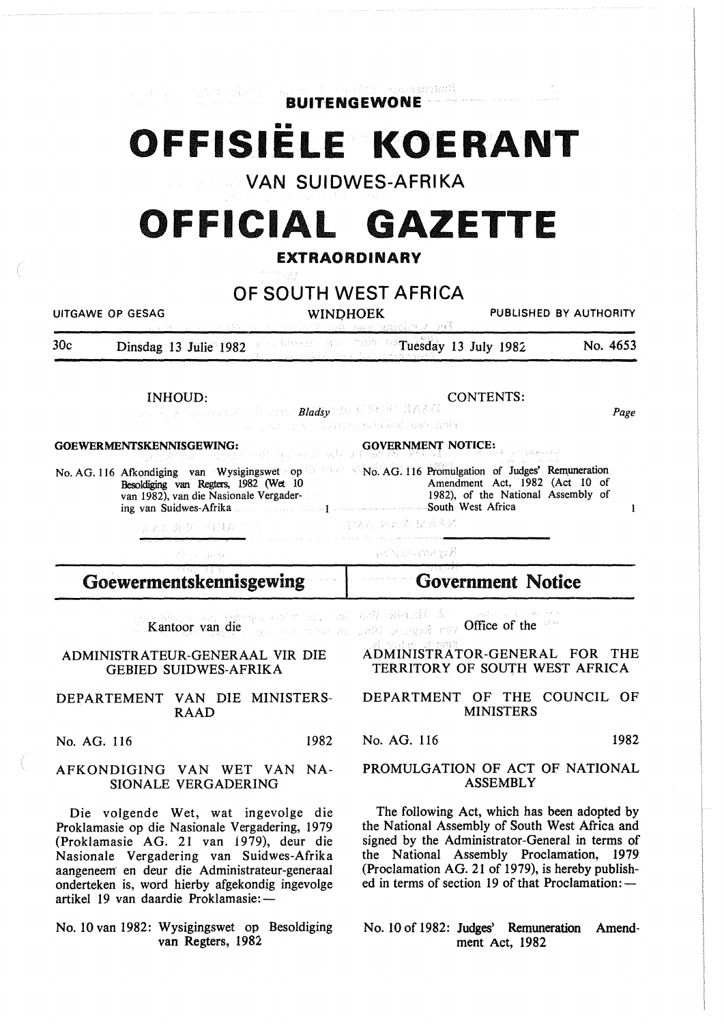**BUITENGEWONE** 

son sandari S

# **OFFISIELE KOERANT**

VAN SUIDWES-AFRIKA

# **OFFICIAL GAZETTE**  EXTRAORDINARY

## OF SOUTH WEST AFRICA

UITGAWE OP GESAG

WINDHOEK PUBLISHED BY AUTHORITY

 $T$ uesday 13 July 1982 No. 4653 30c Dinsdag 13 Julie 1982 Ndevezh Abe

INHOUD:

CONTENTS:

No. AG. 116 Promulgation of Judges' Rem\_uneration

Amendment Act, 1982 (Act 10 of 1982), of the National Assembly of

Page

 $\mathbf{I}$ 

**Bladsy** (2013) **Bladsy** (2013) 1986 818<br>Blads you also have to be a substanting and with

ster and the

GOEWERMENTSKENNISGEWING:

No. AG. 116 Afkondiging van Wysigingswet op Besoldiging van Regters, 1982 (Wet lO van 1982), van die Nasionale Vergadering van Suidwes-Afrika

法上海市 有其意见

导着时 站到桥 钢衣布给

gardings, a signal public

GOVERNMENT NOTICE:

Goewermentskennisgewing

AP 38

Government Notice

South West Africa

 $\lambda$  . Therefor West learn of the step approximate the second section of the second section of the second section of  $\lambda$ 

Kantoor van die where the transformal  $\mathbb{R}^{n\times n}$  and  $\mathbb{R}^{n\times n}$  and  $\mathbb{R}^{n\times n}$  of the transformation

#### ADMINISTRATEUR-GENERAAL VIR DIE GEBIED SUIDWES-AFRIKA

#### DEPARTEMENT VAN DIE MINISTERS-RAAD

No. AG. 116 1982

#### AFKONDIGING VAN WET VAN NA-SIONALE VERGADERING

Die volgende Wet, wat ingevolge die Proklamasie op die Nasionale Vergadering, 1979 (Proklamasie AG. 21 van 1979), deur die Nasionale Vergadering van Suidwes-Afrika aangeneem en deur die Administrateur-generaal onderteken is, word hierby afgekondig ingevolge artikel 19 van daardie Proklamasie:-

No. 10 van 1982: Wysigingswet op Besoldiging van Regters, 1982

#### ADMINISTRATOR-GENERAL FOR THE TERRITORY OF SOUTH WEST AFRICA

#### DEPARTMENT OF THE COUNCIL OF MINISTERS

No. AG. 116 1982

#### PROMULGATION OF ACT OF NATIONAL ASSEMBLY

The following Act, which has been adopted by the National Assembly of South West Africa and signed by the Administrator-General in terms of the National Assembly Proclamation, 1979 (Proclamation AG. 21 of 1979), is hereby published in terms of section 19 of that Proclamation: $-$ 

No. 10 of 1982: Judges' Remuneration Amendment Act, 1982